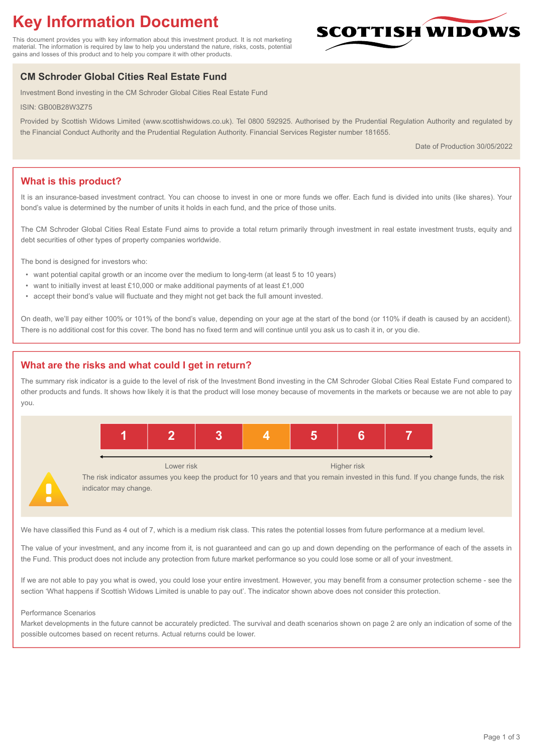# **Key Information Document**

This document provides you with key information about this investment product. It is not marketing material. The information is required by law to help you understand the nature, risks, costs, potential gains and losses of this product and to help you compare it with other products.

## **CM Schroder Global Cities Real Estate Fund**

Investment Bond investing in the CM Schroder Global Cities Real Estate Fund

ISIN: GB00B28W3Z75

Provided by Scottish Widows Limited (www.scottishwidows.co.uk). Tel 0800 592925. Authorised by the Prudential Regulation Authority and regulated by the Financial Conduct Authority and the Prudential Regulation Authority. Financial Services Register number 181655.

Date of Production 30/05/2022

**SCOTTISH WIDOW** 

## **What is this product?**

It is an insurance-based investment contract. You can choose to invest in one or more funds we offer. Each fund is divided into units (like shares). Your bond's value is determined by the number of units it holds in each fund, and the price of those units.

The CM Schroder Global Cities Real Estate Fund aims to provide a total return primarily through investment in real estate investment trusts, equity and debt securities of other types of property companies worldwide.

The bond is designed for investors who:

- want potential capital growth or an income over the medium to long-term (at least 5 to 10 years)
- want to initially invest at least £10,000 or make additional payments of at least £1,000
- accept their bond's value will fluctuate and they might not get back the full amount invested.

On death, we'll pay either 100% or 101% of the bond's value, depending on your age at the start of the bond (or 110% if death is caused by an accident). There is no additional cost for this cover. The bond has no fixed term and will continue until you ask us to cash it in, or you die.

## **What are the risks and what could I get in return?**

The summary risk indicator is a guide to the level of risk of the Investment Bond investing in the CM Schroder Global Cities Real Estate Fund compared to other products and funds. It shows how likely it is that the product will lose money because of movements in the markets or because we are not able to pay you.



The risk indicator assumes you keep the product for 10 years and that you remain invested in this fund. If you change funds, the risk indicator may change.

We have classified this Fund as 4 out of 7, which is a medium risk class. This rates the potential losses from future performance at a medium level.

The value of your investment, and any income from it, is not guaranteed and can go up and down depending on the performance of each of the assets in the Fund. This product does not include any protection from future market performance so you could lose some or all of your investment.

If we are not able to pay you what is owed, you could lose your entire investment. However, you may benefit from a consumer protection scheme - see the section 'What happens if Scottish Widows Limited is unable to pay out'. The indicator shown above does not consider this protection.

#### Performance Scenarios

Market developments in the future cannot be accurately predicted. The survival and death scenarios shown on page 2 are only an indication of some of the possible outcomes based on recent returns. Actual returns could be lower.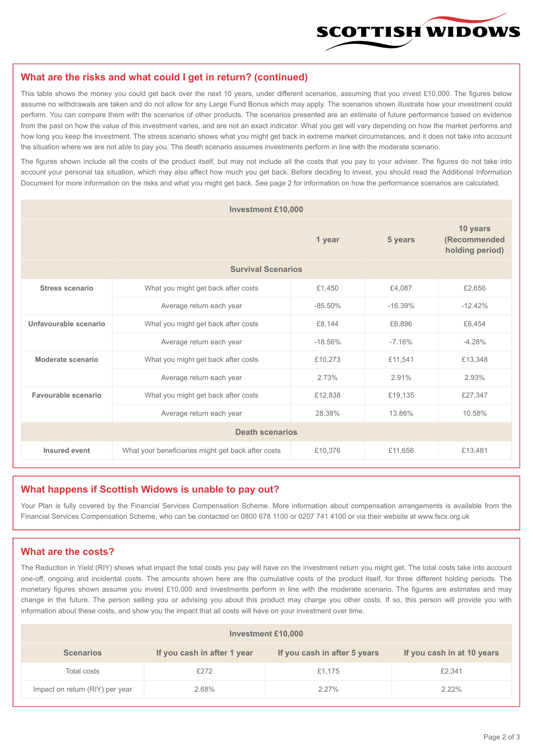

#### **What are the risks and what could I get in return? (continued)**

This table shows the money you could get back over the next 10 years, under different scenarios, assuming that you invest £10,000. The figures below assume no withdrawals are taken and do not allow for any Large Fund Bonus which may apply. The scenarios shown illustrate how your investment could perform. You can compare them with the scenarios of other products. The scenarios presented are an estimate of future performance based on evidence from the past on how the value of this investment varies, and are not an exact indicator. What you get will vary depending on how the market performs and how long you keep the investment. The stress scenario shows what you might get back in extreme market circumstances, and it does not take into account the situation where we are not able to pay you. The death scenario assumes investments perform in line with the moderate scenario.

The figures shown include all the costs of the product itself, but may not include all the costs that you pay to your adviser. The figures do not take into account your personal tax situation, which may also affect how much you get back. Before deciding to invest, you should read the Additional Information Document for more information on the risks and what you might get back. See page 2 for information on how the performance scenarios are calculated.

| <b>Investment £10,000</b> |                                                    |           |                                             |           |  |  |
|---------------------------|----------------------------------------------------|-----------|---------------------------------------------|-----------|--|--|
|                           |                                                    | 5 years   | 10 years<br>(Recommended<br>holding period) |           |  |  |
| <b>Survival Scenarios</b> |                                                    |           |                                             |           |  |  |
| <b>Stress scenario</b>    | £1,450<br>What you might get back after costs      |           | £4.087                                      | £2,656    |  |  |
|                           | Average return each year                           | $-85.50%$ | $-16.39%$                                   | $-12.42%$ |  |  |
| Unfavourable scenario     | What you might get back after costs<br>£8,144      |           | £6,896                                      | £6,454    |  |  |
|                           | Average return each year                           | $-18.56%$ | $-7.16%$                                    | $-4.28%$  |  |  |
| Moderate scenario         | What you might get back after costs                | £10,273   | £11,541                                     | £13,348   |  |  |
|                           | Average return each year                           | 2.73%     | 2.91%                                       | 2.93%     |  |  |
| Favourable scenario       | What you might get back after costs                | £12,838   | £19,135                                     | £27,347   |  |  |
| Average return each year  |                                                    | 28.38%    | 13.86%                                      | 10.58%    |  |  |
| <b>Death scenarios</b>    |                                                    |           |                                             |           |  |  |
| Insured event             | What your beneficiaries might get back after costs | £10,376   | £11,656                                     | £13,481   |  |  |

#### **What happens if Scottish Widows is unable to pay out?**

Your Plan is fully covered by the Financial Services Compensation Scheme. More information about compensation arrangements is available from the Financial Services Compensation Scheme, who can be contacted on 0800 678 1100 or 0207 741 4100 or via their website at www.fscs.org.uk

#### **What are the costs?**

The Reduction in Yield (RIY) shows what impact the total costs you pay will have on the investment return you might get. The total costs take into account one-off, ongoing and incidental costs. The amounts shown here are the cumulative costs of the product itself, for three different holding periods. The monetary figures shown assume you invest £10,000 and investments perform in line with the moderate scenario. The figures are estimates and may change in the future. The person selling you or advising you about this product may charge you other costs. If so, this person will provide you with information about these costs, and show you the impact that all costs will have on your investment over time.

| <b>Investment £10,000</b>       |                             |                              |                            |  |  |  |
|---------------------------------|-----------------------------|------------------------------|----------------------------|--|--|--|
| <b>Scenarios</b>                | If you cash in after 1 year | If you cash in after 5 years | If you cash in at 10 years |  |  |  |
| Total costs                     | £272                        | £1,175                       | £2,341                     |  |  |  |
| Impact on return (RIY) per year | 2.68%                       | 2.27%                        | $2.22\%$                   |  |  |  |